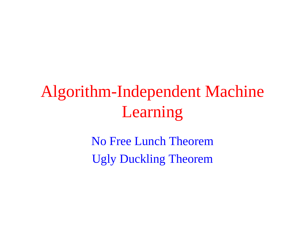# Algorithm-Independent Machine Learning

No Free Lunch TheoremUgly Duckling Theorem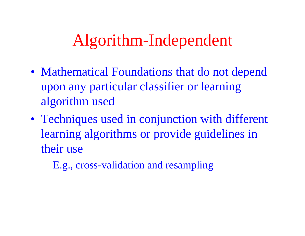## Algorithm-Independent

- Mathematical Foundations that do not depend upon any particular classifier or learning algorithm used
- Techniques used in conjunction with different learning algorithms or provide guidelines in their use
	- E.g., cross-validation and resampling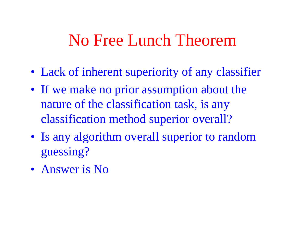## No Free Lunch Theorem

- Lack of inherent superiority of any classifier
- If we make no prior assumption about the nature of the classification task, is any classification method superior overall?
- Is any algorithm overall superior to random guessing?
- Answer is No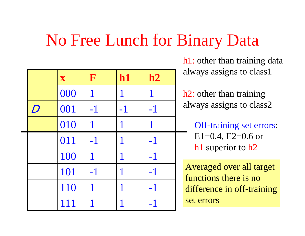## No Free Lunch for Binary Data

|                  | $\mathbf{X}$ | F            | h1          | h2          |
|------------------|--------------|--------------|-------------|-------------|
|                  | 000          | $\mathbf{1}$ | $\mathbf 1$ |             |
| $\boldsymbol{D}$ | 001          | $-1$         | $-1$        | $-1$        |
|                  | 010          | $\mathbf 1$  | $\mathbf 1$ | $\mathbf 1$ |
|                  | 011          | $-1$         | 1           | $-1$        |
|                  | 100          | $\mathbf 1$  | 1           | $-1$        |
|                  | 101          | $-1$         | 1           | $-1$        |
|                  | 110          | $\mathbf 1$  | 1           | $-1$        |
|                  | 111          | 1            |             |             |

h1: other than training data always assigns to class1

h2: other than training always assigns to class2

> Off-training set errors: E1=0.4, E2=0.6 or h1 superior to h2

Averaged over all target functions there is nodifference in off-training set errors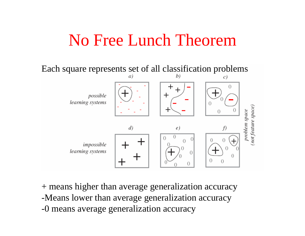## No Free Lunch Theorem



+ means higher than average generalization accuracy -Means lower than average generalization accuracy -0 means average generalization accuracy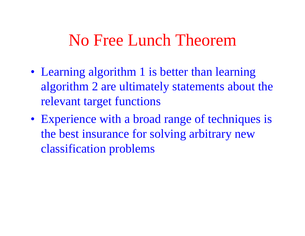## No Free Lunch Theorem

- Learning algorithm 1 is better than learning algorithm 2 are ultimately statements about the relevant target functions
- Experience with a broad range of techniques is the best insurance for solving arbitrary new classification problems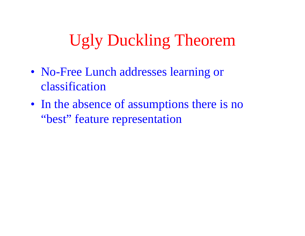# Ugly Duckling Theorem

- No-Free Lunch addresses learning or classification
- In the absence of assumptions there is no "best" feature representation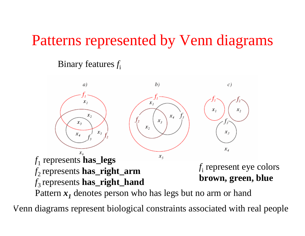#### Patterns represented by Venn diagrams

Binary features *f*i



Venn diagrams represent biological constraints associated with real people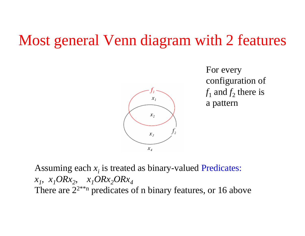#### Most general Venn diagram with 2 features



For every configuration of  $f_1$  and  $f_2$  there is a pattern

Assuming each  $x_i$  is treated as binary-valued Predicates:  $x_1$ *,*  $x_1ORx_2$ *,*  $x_1ORx_2ORx_4$ There are  $2^{2^{**}n}$  predicates of n binary features, or 16 above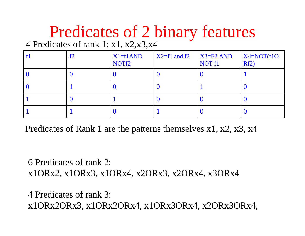#### Predicates of 2 binary features 4 Predicates of rank 1: x1, x2,x3,x4

| f1        | f2 | $X1 = f1AND$<br>NOTf2 | $X2 = f1$ and $f2$ | $X3=F2$ AND<br>NOT <sub>f1</sub> | $X4 = NOT(f10$<br>Rf2) |
|-----------|----|-----------------------|--------------------|----------------------------------|------------------------|
| l ()      |    |                       |                    |                                  |                        |
| $\mid$ () |    |                       |                    |                                  |                        |
|           |    |                       |                    |                                  |                        |
|           |    |                       |                    |                                  |                        |

Predicates of Rank 1 are the patterns themselves x1, x2, x3, x4

6 Predicates of rank 2: x1ORx2, x1ORx3, x1ORx4, x2ORx3, x2ORx4, x3ORx4

4 Predicates of rank 3: x1ORx2ORx3, x1ORx2ORx4, x1ORx3ORx4, x2ORx3ORx4,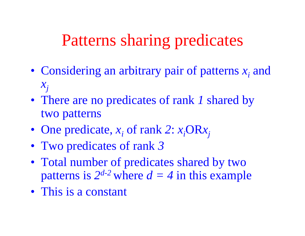## Patterns sharing predicates

- Considering an arbitrary pair of patterns  $x_i$  and  $x_i$
- There are no predicates of rank 1 shared by two patterns
- One predicate,  $x_i$  of rank 2: *x <sup>i</sup>*OR*xj*
- Two predicates of rank *3*
- Total number of predicates shared by two patterns is  $2^{d-2}$  where  $d = 4$  in this example
- This is a constant